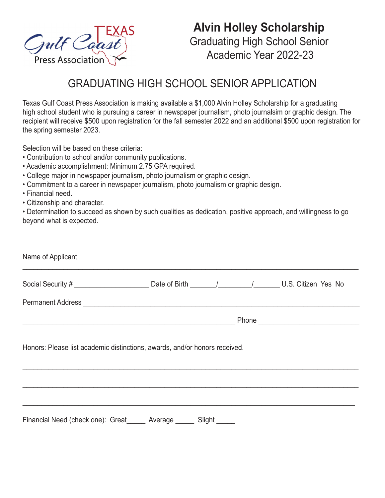

## **Alvin Holley Scholarship** Graduating High School Senior Academic Year 2022-23

## GRADUATING HIGH SCHOOL SENIOR APPLICATION

Texas Gulf Coast Press Association is making available a \$1,000 Alvin Holley Scholarship for a graduating high school student who is pursuing a career in newspaper journalism, photo journalsim or graphic design. The recipient will receive \$500 upon registration for the fall semester 2022 and an additional \$500 upon registration for the spring semester 2023.

Selection will be based on these criteria:

- Contribution to school and/or community publications.
- Academic accomplishment: Minimum 2.75 GPA required.
- College major in newspaper journalism, photo journalism or graphic design.
- Commitment to a career in newspaper journalism, photo journalism or graphic design.
- Financial need.
- Citizenship and character.

• Determination to succeed as shown by such qualities as dedication, positive approach, and willingness to go beyond what is expected.

| Name of Applicant                                                          |  |  |  |  |  |
|----------------------------------------------------------------------------|--|--|--|--|--|
|                                                                            |  |  |  |  |  |
|                                                                            |  |  |  |  |  |
|                                                                            |  |  |  |  |  |
| Honors: Please list academic distinctions, awards, and/or honors received. |  |  |  |  |  |
|                                                                            |  |  |  |  |  |
|                                                                            |  |  |  |  |  |
| Financial Need (check one): Great______ Average ______ Slight _____        |  |  |  |  |  |